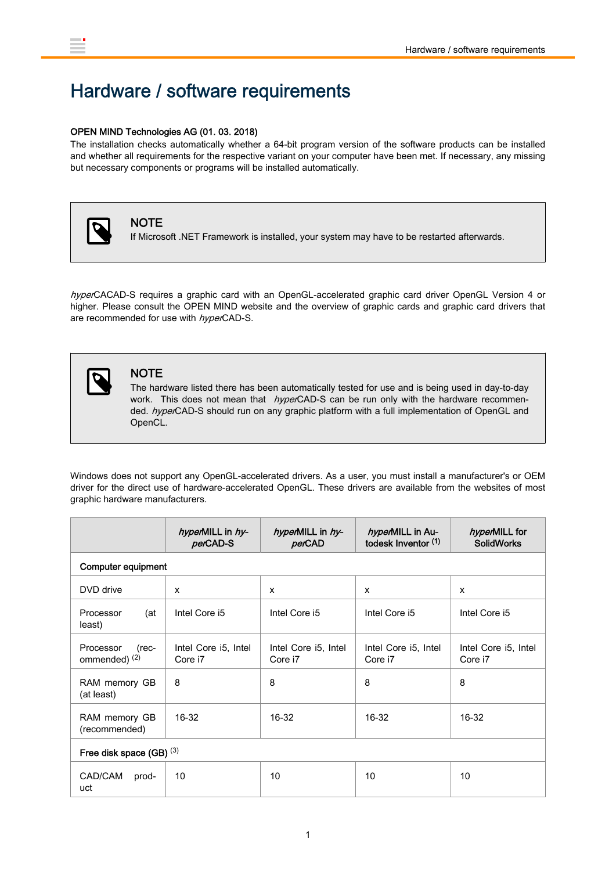## Hardware / software requirements

## OPEN MIND Technologies AG (01. 03. 2018)

The installation checks automatically whether a 64-bit program version of the software products can be installed and whether all requirements for the respective variant on your computer have been met. If necessary, any missing but necessary components or programs will be installed automatically.



## **NOTE**

If Microsoft .NET Framework is installed, your system may have to be restarted afterwards.

hyperCACAD-S requires a graphic card with an OpenGL-accelerated graphic card driver OpenGL Version 4 or higher. Please consult the OPEN MIND website and the overview of graphic cards and graphic card drivers that are recommended for use with hyperCAD-S.



## **NOTE**

The hardware listed there has been automatically tested for use and is being used in day-to-day work. This does not mean that *hyper*CAD-S can be run only with the hardware recommended. hyperCAD-S should run on any graphic platform with a full implementation of OpenGL and OpenCL.

Windows does not support any OpenGL-accelerated drivers. As a user, you must install a manufacturer's or OEM driver for the direct use of hardware-accelerated OpenGL. These drivers are available from the websites of most graphic hardware manufacturers.

|                                                  | hyperMILL in hy-<br>perCAD-S    | hyperMILL in hy-<br>perCAD      | hyperMILL in Au-<br>todesk Inventor (1) | hyperMILL for<br><b>SolidWorks</b> |  |  |  |
|--------------------------------------------------|---------------------------------|---------------------------------|-----------------------------------------|------------------------------------|--|--|--|
| <b>Computer equipment</b>                        |                                 |                                 |                                         |                                    |  |  |  |
| DVD drive                                        | $\mathsf{x}$                    | x                               | $\mathsf{x}$                            | $\mathsf{x}$                       |  |  |  |
| (at<br>Processor<br>least)                       | Intel Core i5                   | Intel Core i5                   | Intel Core i5                           | Intel Core i5                      |  |  |  |
| Processor<br>$(rec-$<br>ommended) <sup>(2)</sup> | Intel Core i5, Intel<br>Core i7 | Intel Core i5, Intel<br>Core i7 | Intel Core i5, Intel<br>Core i7         | Intel Core i5, Intel<br>Core i7    |  |  |  |
| RAM memory GB<br>(at least)                      | 8                               | 8                               | 8                                       | 8                                  |  |  |  |
| RAM memory GB<br>(recommended)                   | 16-32                           | $16-32$                         | 16-32                                   | 16-32                              |  |  |  |
| Free disk space (GB) $(3)$                       |                                 |                                 |                                         |                                    |  |  |  |
| CAD/CAM<br>prod-<br>uct                          | 10                              | 10                              | 10                                      | 10                                 |  |  |  |